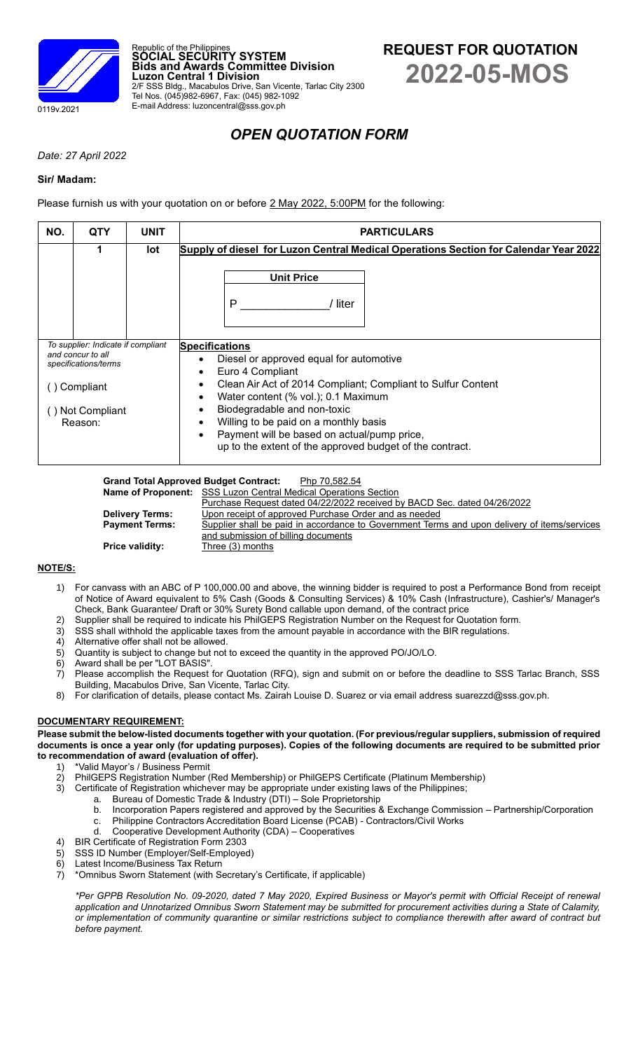

# *OPEN QUOTATION FORM*

*Date: 27 April 2022*

### **Sir/ Madam:**

Please furnish us with your quotation on or before 2 May 2022, 5:00PM for the following:

| NO.                                                                             | <b>QTY</b> | <b>UNIT</b> | <b>PARTICULARS</b>                                                                                                                                                              |
|---------------------------------------------------------------------------------|------------|-------------|---------------------------------------------------------------------------------------------------------------------------------------------------------------------------------|
|                                                                                 | 1          | lot         | Supply of diesel for Luzon Central Medical Operations Section for Calendar Year 2022                                                                                            |
|                                                                                 |            |             | <b>Unit Price</b>                                                                                                                                                               |
|                                                                                 |            |             | P<br>liter                                                                                                                                                                      |
| To supplier: Indicate if compliant<br>and concur to all<br>specifications/terms |            |             | <b>Specifications</b><br>Diesel or approved equal for automotive<br>Euro 4 Compliant                                                                                            |
| ⊦Compliant                                                                      |            |             | Clean Air Act of 2014 Compliant; Compliant to Sulfur Content<br>Water content (% vol.); 0.1 Maximum                                                                             |
| Not Compliant<br>Reason:                                                        |            |             | Biodegradable and non-toxic<br>Willing to be paid on a monthly basis<br>Payment will be based on actual/pump price,<br>up to the extent of the approved budget of the contract. |

Grand Total Approved Budget Contract: Php 70,582.54

|                        | <b>Name of Proponent:</b> SSS Luzon Central Medical Operations Section                       |
|------------------------|----------------------------------------------------------------------------------------------|
|                        | Purchase Request dated 04/22/2022 received by BACD Sec. dated 04/26/2022                     |
| <b>Delivery Terms:</b> | Upon receipt of approved Purchase Order and as needed                                        |
| <b>Payment Terms:</b>  | Supplier shall be paid in accordance to Government Terms and upon delivery of items/services |
|                        | and submission of billing documents                                                          |
| <b>Price validity:</b> | Three (3) months                                                                             |

### **NOTE/S:**

- 1) For canvass with an ABC of P 100,000.00 and above, the winning bidder is required to post a Performance Bond from receipt of Notice of Award equivalent to 5% Cash (Goods & Consulting Services) & 10% Cash (Infrastructure), Cashier's/ Manager's Check, Bank Guarantee/ Draft or 30% Surety Bond callable upon demand, of the contract price
- 2) Supplier shall be required to indicate his PhilGEPS Registration Number on the Request for Quotation form.<br>3) SSS shall withhold the applicable taxes from the amount payable in accordance with the BIR requilations.
- SSS shall withhold the applicable taxes from the amount payable in accordance with the BIR regulations.
- 
- 4) Alternative offer shall not be allowed.<br>5) Quantity is subject to change but not Quantity is subject to change but not to exceed the quantity in the approved PO/JO/LO.
- 6) Award shall be per "LOT BASIS".
- 7) Please accomplish the Request for Quotation (RFQ), sign and submit on or before the deadline to SSS Tarlac Branch, SSS Building, Macabulos Drive, San Vicente, Tarlac City.
- 8) For clarification of details, please contact Ms. Zairah Louise D. Suarez or via email address suarezzd@sss.gov.ph.

## **DOCUMENTARY REQUIREMENT:**

**Please submit the below-listed documents together with your quotation. (For previous/regular suppliers, submission of required documents is once a year only (for updating purposes). Copies of the following documents are required to be submitted prior to recommendation of award (evaluation of offer).**

- 1) \*Valid Mayor's / Business Permit<br>2) PhilGEPS Registration Number (
- 2) PhilGEPS Registration Number (Red Membership) or PhilGEPS Certificate (Platinum Membership)<br>3) Certificate of Registration whichever may be appropriate under existing laws of the Philippines;
	- Certificate of Registration whichever may be appropriate under existing laws of the Philippines;
		- a. Bureau of Domestic Trade & Industry (DTI) Sole Proprietorship
		- b. Incorporation Papers registered and approved by the Securities & Exchange Commission Partnership/Corporation
		- c. Philippine Contractors Accreditation Board License (PCAB) Contractors/Civil Works
		- d. Cooperative Development Authority (CDA) Cooperatives
- 4) BIR Certificate of Registration Form 2303
- 5) SSS ID Number (Employer/Self-Employed)
- 6) Latest Income/Business Tax Return
- 7) \*Omnibus Sworn Statement (with Secretary's Certificate, if applicable)

*\*Per GPPB Resolution No. 09-2020, dated 7 May 2020, Expired Business or Mayor's permit with Official Receipt of renewal application and Unnotarized Omnibus Sworn Statement may be submitted for procurement activities during a State of Calamity, or implementation of community quarantine or similar restrictions subject to compliance therewith after award of contract but before payment.*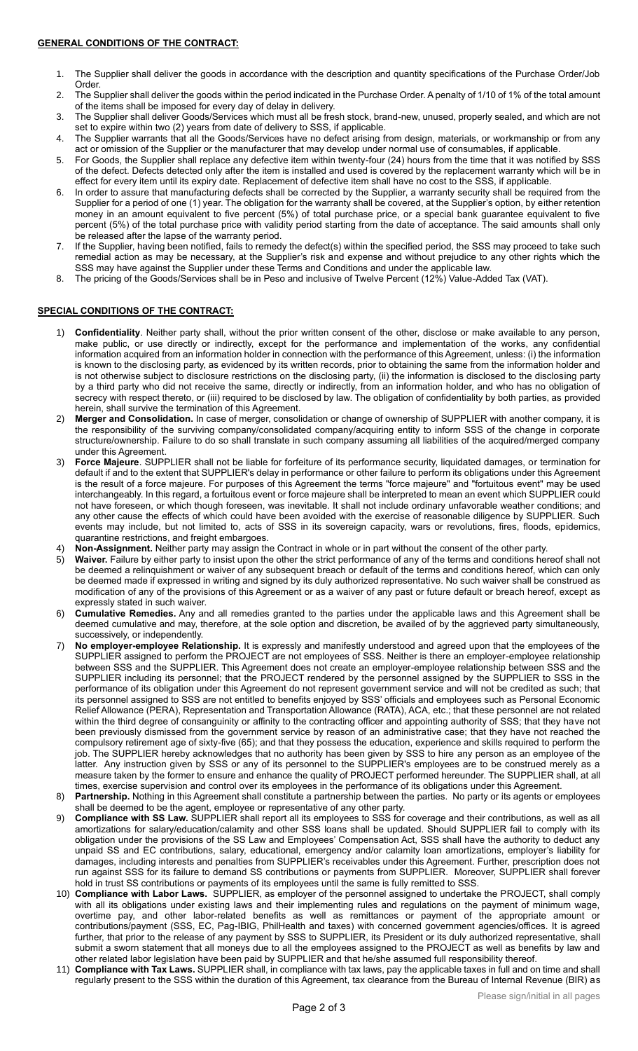- 1. The Supplier shall deliver the goods in accordance with the description and quantity specifications of the Purchase Order/Job Order.
- 2. The Supplier shall deliver the goods within the period indicated in the Purchase Order. A penalty of 1/10 of 1% of the total amount of the items shall be imposed for every day of delay in delivery.
- 3. The Supplier shall deliver Goods/Services which must all be fresh stock, brand-new, unused, properly sealed, and which are not set to expire within two (2) years from date of delivery to SSS, if applicable.
- 4. The Supplier warrants that all the Goods/Services have no defect arising from design, materials, or workmanship or from any act or omission of the Supplier or the manufacturer that may develop under normal use of consumables, if applicable.
- 5. For Goods, the Supplier shall replace any defective item within twenty-four (24) hours from the time that it was notified by SSS of the defect. Defects detected only after the item is installed and used is covered by the replacement warranty which will be in effect for every item until its expiry date. Replacement of defective item shall have no cost to the SSS, if applicable.
- 6. In order to assure that manufacturing defects shall be corrected by the Supplier, a warranty security shall be required from the Supplier for a period of one (1) year. The obligation for the warranty shall be covered, at the Supplier's option, by either retention money in an amount equivalent to five percent (5%) of total purchase price, or a special bank guarantee equivalent to five percent (5%) of the total purchase price with validity period starting from the date of acceptance. The said amounts shall only be released after the lapse of the warranty period.
- 7. If the Supplier, having been notified, fails to remedy the defect(s) within the specified period, the SSS may proceed to take such remedial action as may be necessary, at the Supplier's risk and expense and without prejudice to any other rights which the SSS may have against the Supplier under these Terms and Conditions and under the applicable law.
- 8. The pricing of the Goods/Services shall be in Peso and inclusive of Twelve Percent (12%) Value-Added Tax (VAT).

### **SPECIAL CONDITIONS OF THE CONTRACT:**

- 1) **Confidentiality**. Neither party shall, without the prior written consent of the other, disclose or make available to any person, make public, or use directly or indirectly, except for the performance and implementation of the works, any confidential information acquired from an information holder in connection with the performance of this Agreement, unless: (i) the information is known to the disclosing party, as evidenced by its written records, prior to obtaining the same from the information holder and is not otherwise subject to disclosure restrictions on the disclosing party, (ii) the information is disclosed to the disclosing party by a third party who did not receive the same, directly or indirectly, from an information holder, and who has no obligation of secrecy with respect thereto, or (iii) required to be disclosed by law. The obligation of confidentiality by both parties, as provided herein, shall survive the termination of this Agreement.
- 2) **Merger and Consolidation.** In case of merger, consolidation or change of ownership of SUPPLIER with another company, it is the responsibility of the surviving company/consolidated company/acquiring entity to inform SSS of the change in corporate structure/ownership. Failure to do so shall translate in such company assuming all liabilities of the acquired/merged company under this Agreement.
- Force Majeure. SUPPLIER shall not be liable for forfeiture of its performance security, liquidated damages, or termination for default if and to the extent that SUPPLIER's delay in performance or other failure to perform its obligations under this Agreement is the result of a force majeure. For purposes of this Agreement the terms "force majeure" and "fortuitous event" may be used interchangeably. In this regard, a fortuitous event or force majeure shall be interpreted to mean an event which SUPPLIER could not have foreseen, or which though foreseen, was inevitable. It shall not include ordinary unfavorable weather conditions; and any other cause the effects of which could have been avoided with the exercise of reasonable diligence by SUPPLIER. Such events may include, but not limited to, acts of SSS in its sovereign capacity, wars or revolutions, fires, floods, epidemics, quarantine restrictions, and freight embargoes.
- Non-Assignment. Neither party may assign the Contract in whole or in part without the consent of the other party.
- 5) **Waiver.** Failure by either party to insist upon the other the strict performance of any of the terms and conditions hereof shall not be deemed a relinquishment or waiver of any subsequent breach or default of the terms and conditions hereof, which can only be deemed made if expressed in writing and signed by its duly authorized representative. No such waiver shall be construed as modification of any of the provisions of this Agreement or as a waiver of any past or future default or breach hereof, except as expressly stated in such waiver.
- 6) **Cumulative Remedies.** Any and all remedies granted to the parties under the applicable laws and this Agreement shall be deemed cumulative and may, therefore, at the sole option and discretion, be availed of by the aggrieved party simultaneously, successively, or independently.
- 7) **No employer-employee Relationship.** It is expressly and manifestly understood and agreed upon that the employees of the SUPPLIER assigned to perform the PROJECT are not employees of SSS. Neither is there an employer-employee relationship between SSS and the SUPPLIER. This Agreement does not create an employer-employee relationship between SSS and the SUPPLIER including its personnel; that the PROJECT rendered by the personnel assigned by the SUPPLIER to SSS in the performance of its obligation under this Agreement do not represent government service and will not be credited as such; that its personnel assigned to SSS are not entitled to benefits enjoyed by SSS' officials and employees such as Personal Economic Relief Allowance (PERA), Representation and Transportation Allowance (RATA), ACA, etc.; that these personnel are not related within the third degree of consanguinity or affinity to the contracting officer and appointing authority of SSS; that they have not been previously dismissed from the government service by reason of an administrative case; that they have not reached the compulsory retirement age of sixty-five (65); and that they possess the education, experience and skills required to perform the job. The SUPPLIER hereby acknowledges that no authority has been given by SSS to hire any person as an employee of the latter. Any instruction given by SSS or any of its personnel to the SUPPLIER's employees are to be construed merely as a measure taken by the former to ensure and enhance the quality of PROJECT performed hereunder. The SUPPLIER shall, at all times, exercise supervision and control over its employees in the performance of its obligations under this Agreement.
- 8) **Partnership.** Nothing in this Agreement shall constitute a partnership between the parties. No party or its agents or employees shall be deemed to be the agent, employee or representative of any other party.
- 9) **Compliance with SS Law.** SUPPLIER shall report all its employees to SSS for coverage and their contributions, as well as all amortizations for salary/education/calamity and other SSS loans shall be updated. Should SUPPLIER fail to comply with its obligation under the provisions of the SS Law and Employees' Compensation Act, SSS shall have the authority to deduct any unpaid SS and EC contributions, salary, educational, emergency and/or calamity loan amortizations, employer's liability for damages, including interests and penalties from SUPPLIER's receivables under this Agreement. Further, prescription does not run against SSS for its failure to demand SS contributions or payments from SUPPLIER. Moreover, SUPPLIER shall forever hold in trust SS contributions or payments of its employees until the same is fully remitted to SSS.
- 10) **Compliance with Labor Laws.** SUPPLIER, as employer of the personnel assigned to undertake the PROJECT, shall comply with all its obligations under existing laws and their implementing rules and regulations on the payment of minimum wage, overtime pay, and other labor-related benefits as well as remittances or payment of the appropriate amount or contributions/payment (SSS, EC, Pag-IBIG, PhilHealth and taxes) with concerned government agencies/offices. It is agreed further, that prior to the release of any payment by SSS to SUPPLIER, its President or its duly authorized representative, shall submit a sworn statement that all moneys due to all the employees assigned to the PROJECT as well as benefits by law and other related labor legislation have been paid by SUPPLIER and that he/she assumed full responsibility thereof.
- 11) **Compliance with Tax Laws.** SUPPLIER shall, in compliance with tax laws, pay the applicable taxes in full and on time and shall regularly present to the SSS within the duration of this Agreement, tax clearance from the Bureau of Internal Revenue (BIR) as